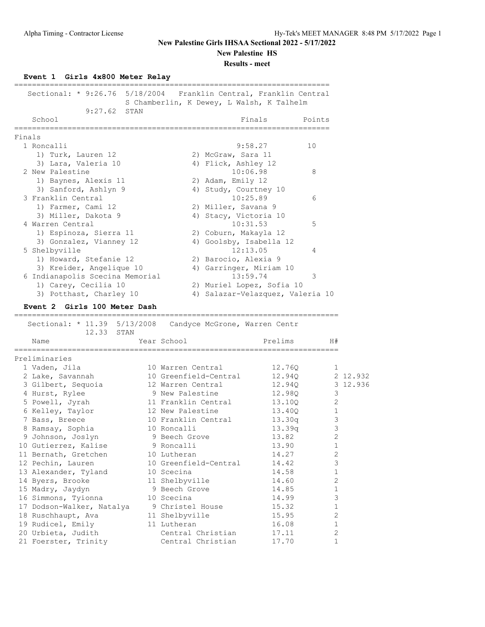### **New Palestine HS**

**Results - meet**

#### **Event 1 Girls 4x800 Meter Relay**

| Sectional: * 9:26.76 5/18/2004 Franklin Central, Franklin Central            |      |                       |                         | S Chamberlin, K Dewey, L Walsh, K Talhelm                        |        |              |          |
|------------------------------------------------------------------------------|------|-----------------------|-------------------------|------------------------------------------------------------------|--------|--------------|----------|
| 9:27.62                                                                      | STAN |                       |                         |                                                                  |        |              |          |
| School<br>______________________                                             |      |                       |                         | Finals                                                           | Points |              |          |
| Finals                                                                       |      |                       |                         | ==========================                                       |        |              |          |
| 1 Roncalli                                                                   |      |                       |                         | 9:58.27                                                          | 10     |              |          |
| 1) Turk, Lauren 12                                                           |      |                       | 2) McGraw, Sara 11      |                                                                  |        |              |          |
| 3) Lara, Valeria 10                                                          |      |                       | 4) Flick, Ashley 12     |                                                                  |        |              |          |
| 2 New Palestine                                                              |      |                       |                         | 10:06.98                                                         | 8      |              |          |
| 1) Baynes, Alexis 11                                                         |      |                       | 2) Adam, Emily 12       |                                                                  |        |              |          |
| 3) Sanford, Ashlyn 9                                                         |      |                       | 4) Study, Courtney 10   |                                                                  |        |              |          |
| 3 Franklin Central                                                           |      |                       |                         | 10:25.89                                                         | 6      |              |          |
| 1) Farmer, Cami 12                                                           |      |                       | 2) Miller, Savana 9     |                                                                  |        |              |          |
| 3) Miller, Dakota 9                                                          |      |                       | 4) Stacy, Victoria 10   |                                                                  |        |              |          |
| 4 Warren Central                                                             |      |                       |                         | 10:31.53                                                         | 5      |              |          |
| 1) Espinoza, Sierra 11                                                       |      |                       | 2) Coburn, Makayla 12   |                                                                  |        |              |          |
| 3) Gonzalez, Vianney 12                                                      |      |                       | 4) Goolsby, Isabella 12 |                                                                  |        |              |          |
| 5 Shelbyville                                                                |      |                       |                         | 12:13.05                                                         | 4      |              |          |
| 1) Howard, Stefanie 12                                                       |      |                       | 2) Barocio, Alexia 9    |                                                                  |        |              |          |
| 3) Kreider, Angelique 10                                                     |      |                       | 4) Garringer, Miriam 10 |                                                                  |        |              |          |
| 6 Indianapolis Scecina Memorial                                              |      |                       |                         | 13:59.74                                                         | 3      |              |          |
| 1) Carey, Cecilia 10                                                         |      |                       |                         | 2) Muriel Lopez, Sofia 10                                        |        |              |          |
| 3) Potthast, Charley 10                                                      |      |                       |                         | 4) Salazar-Velazquez, Valeria 10                                 |        |              |          |
| Event 2 Girls 100 Meter Dash                                                 |      |                       |                         |                                                                  |        |              |          |
| ______________________________<br>Sectional: * 11.39 5/13/2008<br>12.33 STAN |      |                       |                         | -------------------------------<br>Candyce McGrone, Warren Centr |        |              |          |
| Name                                                                         |      | Year School           |                         | Prelims                                                          |        | H#           |          |
| ===========<br>Preliminaries                                                 |      |                       |                         |                                                                  |        |              |          |
| 1 Vaden, Jila                                                                |      | 10 Warren Central     |                         | 12.760                                                           |        | $\mathbf{1}$ |          |
| 2 Lake, Savannah                                                             |      | 10 Greenfield-Central |                         | 12.940                                                           |        |              | 2 12.932 |
| 3 Gilbert, Sequoia                                                           |      | 12 Warren Central     |                         | 12.94Q                                                           |        |              | 3 12.936 |
| 4 Hurst, Rylee                                                               |      | 9 New Palestine       |                         | 12.98Q                                                           |        | 3            |          |
| 5 Powell, Jyrah                                                              |      | 11 Franklin Central   |                         | 13.10Q                                                           |        | $\mathbf{2}$ |          |
| 6 Kelley, Taylor                                                             |      | 12 New Palestine      |                         | 13.40Q                                                           |        | 1            |          |
| 7 Bass, Breece                                                               |      | 10 Franklin Central   |                         | 13.30q                                                           |        | 3            |          |
| 8 Ramsay, Sophia                                                             |      | 10 Roncalli           |                         | 13.39q                                                           |        | 3            |          |
|                                                                              |      |                       |                         |                                                                  |        |              |          |

 9 Johnson, Joslyn 9 Beech Grove 13.82 2 10 Gutierrez, Kalise 19 Roncalli 13.90 1 11 Bernath, Gretchen 10 Lutheran 14.27 2 12 Pechin, Lauren 10 Greenfield-Central 14.42 3 13 Alexander, Tyland 10 Scecina 14.58 1 14 Byers, Brooke 11 Shelbyville 14.60 2 15 Madry, Jaydyn 9 Beech Grove 14.85 1 16 Simmons, Tyionna 10 Scecina 14.99 3 17 Dodson-Walker, Natalya 9 Christel House 15.32 1 18 Ruschhaupt, Ava 11 Shelbyville 15.95 2 19 Rudicel, Emily 11 Lutheran 16.08 1 20 Urbieta, Judith Central Christian 17.11 2 21 Foerster, Trinity **Central Christian** 17.70 1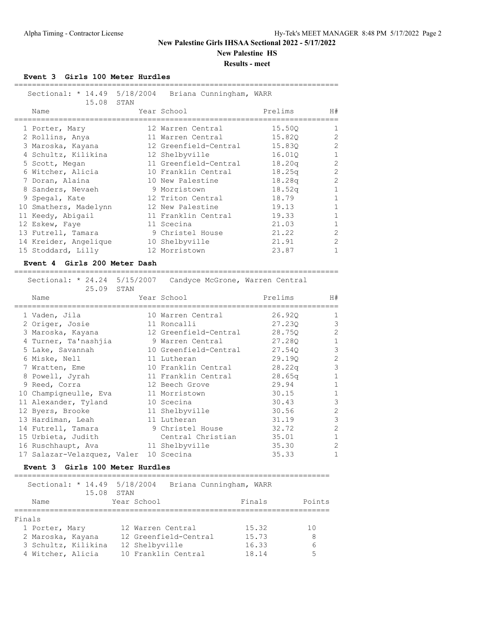**New Palestine HS**

=========================================================================

**Results - meet**

#### **Event 3 Girls 100 Meter Hurdles**

| Name |                                                                                                                                                                                                                                                                                            |                                     | Prelims                                                                                                                                                                                                                                                                   | H#                                                                                                   |
|------|--------------------------------------------------------------------------------------------------------------------------------------------------------------------------------------------------------------------------------------------------------------------------------------------|-------------------------------------|---------------------------------------------------------------------------------------------------------------------------------------------------------------------------------------------------------------------------------------------------------------------------|------------------------------------------------------------------------------------------------------|
|      |                                                                                                                                                                                                                                                                                            |                                     | 15.500                                                                                                                                                                                                                                                                    |                                                                                                      |
|      |                                                                                                                                                                                                                                                                                            |                                     | 15.820                                                                                                                                                                                                                                                                    | 2                                                                                                    |
|      |                                                                                                                                                                                                                                                                                            |                                     | 15.830                                                                                                                                                                                                                                                                    | 2                                                                                                    |
|      |                                                                                                                                                                                                                                                                                            |                                     | 16.010                                                                                                                                                                                                                                                                    |                                                                                                      |
|      |                                                                                                                                                                                                                                                                                            |                                     | 18.20q                                                                                                                                                                                                                                                                    | $\overline{2}$                                                                                       |
|      |                                                                                                                                                                                                                                                                                            |                                     | 18.25q                                                                                                                                                                                                                                                                    | 2                                                                                                    |
|      |                                                                                                                                                                                                                                                                                            |                                     | 18.28q                                                                                                                                                                                                                                                                    | 2                                                                                                    |
|      |                                                                                                                                                                                                                                                                                            |                                     | 18.52q                                                                                                                                                                                                                                                                    | $\mathbf{1}$                                                                                         |
|      |                                                                                                                                                                                                                                                                                            |                                     | 18.79                                                                                                                                                                                                                                                                     | $\mathbf{1}$                                                                                         |
|      |                                                                                                                                                                                                                                                                                            |                                     | 19.13                                                                                                                                                                                                                                                                     | $\mathbf{1}$                                                                                         |
|      |                                                                                                                                                                                                                                                                                            |                                     | 19.33                                                                                                                                                                                                                                                                     | $\mathbf{1}$                                                                                         |
|      |                                                                                                                                                                                                                                                                                            |                                     | 21.03                                                                                                                                                                                                                                                                     |                                                                                                      |
|      |                                                                                                                                                                                                                                                                                            |                                     | 21.22                                                                                                                                                                                                                                                                     | 2                                                                                                    |
|      |                                                                                                                                                                                                                                                                                            |                                     | 21.91                                                                                                                                                                                                                                                                     | $\overline{2}$                                                                                       |
|      |                                                                                                                                                                                                                                                                                            |                                     | 23.87                                                                                                                                                                                                                                                                     |                                                                                                      |
|      | 1 Porter, Mary<br>2 Rollins, Anya<br>3 Maroska, Kayana<br>4 Schultz, Kilikina<br>5 Scott, Megan<br>6 Witcher, Alicia<br>7 Doran, Alaina<br>8 Sanders, Nevaeh<br>9 Spegal, Kate<br>10 Smathers, Madelynn<br>11 Keedy, Abigail<br>12 Eskew, Faye<br>13 Futrell, Tamara<br>15 Stoddard, Lilly | 15.08 STAN<br>14 Kreider, Angelique | Year School<br>12 Warren Central<br>11 Warren Central<br>12 Shelbyville<br>11 Greenfield-Central<br>10 New Palestine<br>9 Morristown<br>12 Triton Central<br>12 New Palestine<br>11 Franklin Central<br>11 Scecina<br>9 Christel House<br>10 Shelbyville<br>12 Morristown | Sectional: * 14.49 5/18/2004 Briana Cunningham, WARR<br>12 Greenfield-Central<br>10 Franklin Central |

#### **Event 4 Girls 200 Meter Dash**

| Sectional: * 24.24 5/15/2007 Candyce McGrone, Warren Central<br>25.09 STAN |                              |         |                |
|----------------------------------------------------------------------------|------------------------------|---------|----------------|
| Name                                                                       | Year School                  | Prelims | H#             |
| 1 Vaden, Jila                                                              | 10 Warren Central            | 26.920  | $\mathbf{1}$   |
| 2 Origer, Josie                                                            | 11 Roncalli                  | 27.230  | 3              |
| 3 Maroska, Kayana                                                          | 12 Greenfield-Central        | 28.750  | $\mathfrak{D}$ |
| 4 Turner, Ta'nashjia                                                       | 9 Warren Central             | 27.280  | 1              |
| 5 Lake, Savannah                                                           | 10 Greenfield-Central 27.540 |         | 3              |
| 6 Miske, Nell                                                              | 11 Lutheran                  | 29.190  | $\overline{2}$ |
| 7 Wratten, Eme                                                             | 10 Franklin Central          | 28.22q  | 3              |
| 8 Powell, Jyrah                                                            | 11 Franklin Central          | 28.65q  | 1              |
| 9 Reed, Corra                                                              | 12 Beech Grove               | 29.94   | 1              |
| 10 Champigneulle, Eva                                                      | 11 Morristown                | 30.15   | 1              |
| 11 Alexander, Tyland                                                       | 10 Scecina                   | 30.43   | 3              |
| 12 Byers, Brooke                                                           | 11 Shelbyville               | 30.56   | 2              |
| 13 Hardiman, Leah                                                          | 11 Lutheran                  | 31.19   | 3              |
| 14 Futrell, Tamara                                                         | 9 Christel House             | 32.72   | $\overline{2}$ |
| 15 Urbieta, Judith                                                         | Central Christian            | 35.01   | 1              |
| 16 Ruschhaupt, Ava                                                         | 11 Shelbyville               | 35.30   | $\mathfrak{D}$ |
| 17 Salazar-Velazquez, Valer                                                | 10 Scecina                   | 35.33   |                |

## **Event 3 Girls 100 Meter Hurdles**

|                     | Sectional: * 14.49 5/18/2004<br>15.08<br>STAN | Briana Cunningham, WARR |              |
|---------------------|-----------------------------------------------|-------------------------|--------------|
| Name                | Year School                                   | Finals                  | Points       |
| Finals              |                                               |                         |              |
| 1 Porter, Mary      | 12 Warren Central                             |                         | 15.32<br>1 O |
| 2 Maroska, Kayana   | 12 Greenfield-Central                         |                         | 15.73<br>8   |
| 3 Schultz, Kilikina | 12 Shelbyville                                |                         | 16.33<br>6   |
| 4 Witcher, Alicia   | 10 Franklin Central                           |                         | 18.14<br>5   |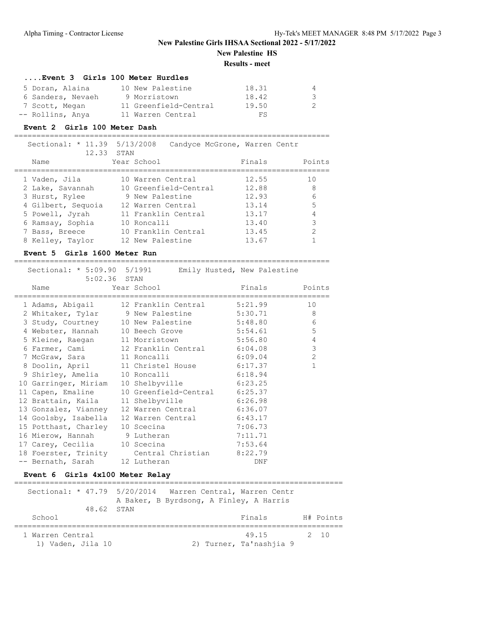# **New Palestine HS**

## **Results - meet**

=======================================================================

#### **....Event 3 Girls 100 Meter Hurdles**

| 5 Doran, Alaina   | 10 New Palestine      | 18.31 | 4  |
|-------------------|-----------------------|-------|----|
| 6 Sanders, Nevaeh | 9 Morristown          | 18.42 | -3 |
| 7 Scott, Megan    | 11 Greenfield-Central | 19.50 | 2  |
| -- Rollins, Anya  | 11 Warren Central     | FS    |    |

#### **Event 2 Girls 100 Meter Dash**

| Sectional: * 11.39 5/13/2008<br>12.33 STAN |                       | Candyce McGrone, Warren Centr |        |
|--------------------------------------------|-----------------------|-------------------------------|--------|
| Name                                       | Year School           | Finals                        | Points |
|                                            |                       |                               |        |
| 1 Vaden, Jila                              | 10 Warren Central     | 12.55<br>10                   |        |
| 2 Lake, Savannah                           | 10 Greenfield-Central | 8<br>12.88                    |        |
| 3 Hurst, Rylee                             | 9 New Palestine       | 6<br>12.93                    |        |
| 4 Gilbert, Sequoia                         | 12 Warren Central     | 5<br>13.14                    |        |
| 5 Powell, Jyrah                            | 11 Franklin Central   | 4<br>13.17                    |        |
| 6 Ramsay, Sophia                           | 10 Roncalli           | 3<br>13.40                    |        |
| 7 Bass, Breece                             | 10 Franklin Central   | 2<br>13.45                    |        |
| 8 Kelley, Taylor                           | 12 New Palestine      | 13.67                         |        |

### **Event 5 Girls 1600 Meter Run**

| 5:02.36 STAN                    | Sectional: * 5:09.90 5/1991 Emily Husted, New Palestine |               |              |
|---------------------------------|---------------------------------------------------------|---------------|--------------|
| Name                            | Year School                                             | Finals Points |              |
|                                 | 1 Adams, Abigail      12 Franklin Central      5:21.99  |               | 10           |
|                                 | 2 Whitaker, Tylar 9 New Palestine 5:30.71               |               | 8            |
|                                 | 3 Study, Courtney 10 New Palestine 5:48.80              |               | 6            |
|                                 | 4 Webster, Hannah 10 Beech Grove 5:54.61                |               | 5            |
|                                 | 5 Kleine, Raegan 11 Morristown 5:56.80                  |               | 4            |
|                                 | 6 Farmer, Cami 12 Franklin Central 6:04.08              |               | $\mathsf 3$  |
| 7 McGraw, Sara 11 Roncalli      | 6:09.04                                                 |               | 2            |
|                                 | 8 Doolin, April 11 Christel House                       | 6:17.37       | $\mathbf{1}$ |
| 9 Shirley, Amelia 10 Roncalli   | 6:18.94                                                 |               |              |
|                                 | 10 Garringer, Miriam 10 Shelbyville 6:23.25             |               |              |
|                                 | 11 Capen, Emaline 10 Greenfield-Central 6:25.37         |               |              |
|                                 | 12 Brattain, Kaila 11 Shelbyville 6:26.98               |               |              |
|                                 | 13 Gonzalez, Vianney 12 Warren Central                  | 6:36.07       |              |
|                                 | 14 Goolsby, Isabella 12 Warren Central 6:43.17          |               |              |
| 15 Potthast, Charley 10 Scecina |                                                         | 7:06.73       |              |
| 16 Mierow, Hannah 9 Lutheran    |                                                         | 7:11.71       |              |
| 17 Carey, Cecilia 10 Scecina    |                                                         | 7:53.64       |              |
|                                 | 18 Foerster, Trinity Central Christian 8:22.79          |               |              |
| -- Bernath, Sarah 12 Lutheran   |                                                         | DNF           |              |

### **Event 6 Girls 4x100 Meter Relay**

| 48.62 STAN                            | Sectional: * 47.79 5/20/2014 Warren Central, Warren Centr<br>A Baker, B Byrdsong, A Finley, A Harris |           |
|---------------------------------------|------------------------------------------------------------------------------------------------------|-----------|
| School                                | Finals                                                                                               | H# Points |
| 1 Warren Central<br>1) Vaden, Jila 10 | 49.15<br>2) Turner, Ta'nashiia 9                                                                     | 2 10      |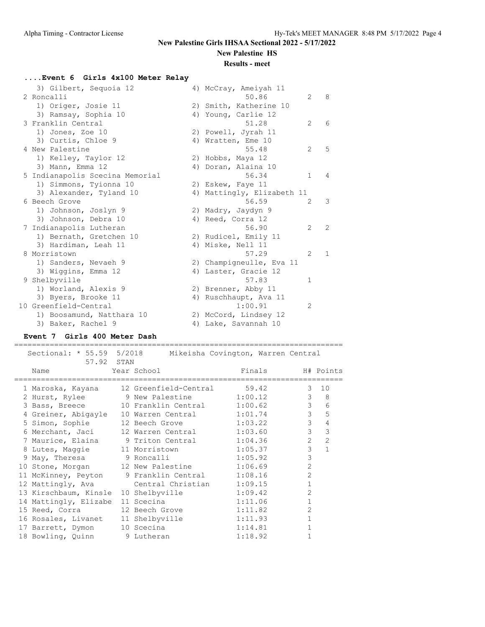## **New Palestine HS**

### **Results - meet**

## **....Event 6 Girls 4x100 Meter Relay**

| 3) Gilbert, Sequoia 12          | 4) McCray, Ameiyah 11      |                |              |
|---------------------------------|----------------------------|----------------|--------------|
| 2 Roncalli                      | 50.86                      | $\overline{2}$ | 8            |
| 1) Origer, Josie 11             | 2) Smith, Katherine 10     |                |              |
| 3) Ramsay, Sophia 10            | 4) Young, Carlie 12        |                |              |
| 3 Franklin Central              | 51.28                      | $\overline{2}$ | 6            |
| 1) Jones, Zoe 10                | 2) Powell, Jyrah 11        |                |              |
| 3) Curtis, Chloe 9              | 4) Wratten, Eme 10         |                |              |
| 4 New Palestine                 | 55.48                      | $\overline{2}$ | 5            |
| 1) Kelley, Taylor 12            | 2) Hobbs, Maya 12          |                |              |
| 3) Mann, Emma 12                | 4) Doran, Alaina 10        |                |              |
| 5 Indianapolis Scecina Memorial | 56.34                      | $\mathbf{1}$   | 4            |
| 1) Simmons, Tyionna 10          | 2) Eskew, Faye 11          |                |              |
| 3) Alexander, Tyland 10         | 4) Mattingly, Elizabeth 11 |                |              |
| 6 Beech Grove                   | 56.59                      | $\mathfrak{L}$ | 3            |
| 1) Johnson, Joslyn 9            | 2) Madry, Jaydyn 9         |                |              |
| 3) Johnson, Debra 10            | 4) Reed, Corra 12          |                |              |
| 7 Indianapolis Lutheran         | 56.90                      | 2              | 2            |
| 1) Bernath, Gretchen 10         | 2) Rudicel, Emily 11       |                |              |
| 3) Hardiman, Leah 11            | 4) Miske, Nell 11          |                |              |
| 8 Morristown                    | 57.29                      | $\mathfrak{L}$ | $\mathbf{1}$ |
| 1) Sanders, Nevaeh 9            | 2) Champigneulle, Eva 11   |                |              |
| 3) Wiggins, Emma 12             | 4) Laster, Gracie 12       |                |              |
| 9 Shelbyville                   | 57.83                      | $\mathbf{1}$   |              |
| 1) Worland, Alexis 9            | 2) Brenner, Abby 11        |                |              |
| 3) Byers, Brooke 11             | 4) Ruschhaupt, Ava 11      |                |              |
| 10 Greenfield-Central           | 1:00.91                    | $\overline{2}$ |              |
| 1) Boosamund, Natthara 10       | 2) McCord, Lindsey 12      |                |              |
| 3) Baker, Rachel 9              | 4) Lake, Savannah 10       |                |              |

### **Event 7 Girls 400 Meter Dash**

| Sectional: * 55.59 5/2018 Mikeisha Covington, Warren Central<br>57.92 STAN |                             |                  |                |                     |
|----------------------------------------------------------------------------|-----------------------------|------------------|----------------|---------------------|
| Name                                                                       | Year School                 | Finals H# Points |                |                     |
| 1 Maroska, Kayana                                                          | 12 Greenfield-Central 59.42 |                  |                | $3 - 10$            |
| 2 Hurst, Rylee 9 New Palestine 1:00.12                                     |                             |                  |                | $3 \quad 8$         |
| 3 Bass, Breece 10 Franklin Central 1:00.62                                 |                             |                  |                | 3 <sup>7</sup><br>6 |
| 4 Greiner, Abigayle 10 Warren Central 1:01.74                              |                             |                  | $\mathfrak{Z}$ | 5                   |
| 5 Simon, Sophie 12 Beech Grove 1:03.22                                     |                             |                  | $\mathcal{S}$  | $\overline{4}$      |
| 6 Merchant, Jaci                                                           | 12 Warren Central 1:03.60   |                  | $\mathcal{S}$  | 3                   |
| 7 Maurice, Elaina 9 Triton Central 1:04.36                                 |                             |                  | $\overline{2}$ | $\overline{2}$      |
| 8 Lutes, Maggie 11 Morristown 1:05.37                                      |                             |                  | $\mathcal{E}$  | $\overline{1}$      |
| 9 May, Theresa 5 9 Roncalli 1:05.92                                        |                             |                  | 3              |                     |
| 10 Stone, Morgan 12 New Palestine 1:06.69                                  |                             |                  | $\overline{2}$ |                     |
| 11 McKinney, Peyton 9 Franklin Central 1:08.16                             |                             |                  | $\overline{2}$ |                     |
| 12 Mattingly, Ava Central Christian 1:09.15                                |                             |                  | $\mathbf{1}$   |                     |
| 13 Kirschbaum, Kinsle                                                      | 10 Shelbyville 1:09.42      |                  | $\overline{2}$ |                     |
| 14 Mattingly, Elizabe                                                      | 11 Scecina                  | 1:11.06          | $\mathbf{1}$   |                     |
| 15 Reed, Corra 12 Beech Grove 1:11.82                                      |                             |                  | $\overline{2}$ |                     |
| 16 Rosales, Livanet 11 Shelbyville                                         |                             | 1:11.93          | $\mathbf{1}$   |                     |
| 17 Barrett, Dymon                                                          | 10 Scecina                  | 1:14.81          | $\mathbf{1}$   |                     |
| 18 Bowling, Quinn 9 Lutheran                                               |                             | 1:18.92          |                |                     |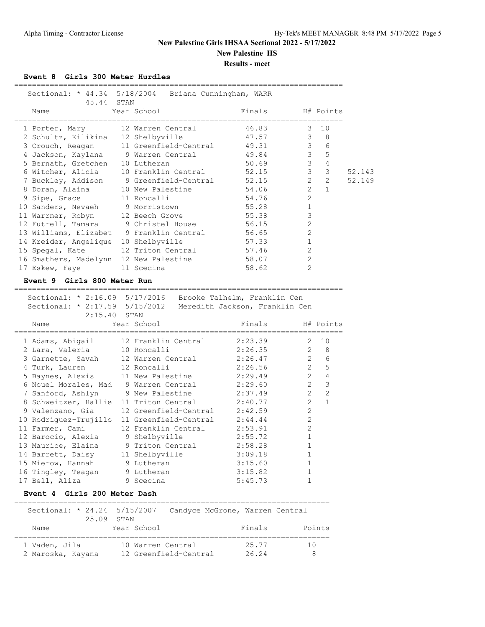**New Palestine HS**

**Results - meet**

**Event 8 Girls 300 Meter Hurdles**

| 45.44 STAN                                   | Sectional: * 44.34 5/18/2004 Briana Cunningham, WARR                                                                                           |                  |                                   |        |
|----------------------------------------------|------------------------------------------------------------------------------------------------------------------------------------------------|------------------|-----------------------------------|--------|
| Name                                         | Year School                                                                                                                                    | Finals H# Points |                                   |        |
|                                              | 1 Porter, Mary 12 Warren Central                                                                                                               | 46.83            | 10<br>3                           |        |
|                                              | 2 Schultz, Kilikina 12 Shelbyville 47.57                                                                                                       |                  | $3 \quad 8$                       |        |
| 3 Crouch, Reagan                             | 11 Greenfield-Central 49.31                                                                                                                    |                  | $\mathfrak{Z}$<br>$6\overline{6}$ |        |
|                                              | 4 Jackson, Kaylana 9 Warren Central 49.84                                                                                                      |                  | $\mathcal{S}$<br>$5^{\circ}$      |        |
| 5 Bernath, Gretchen 10 Lutheran              |                                                                                                                                                | 50.69            | $\mathcal{S}$<br>$\overline{4}$   |        |
|                                              | 6 Witcher, Alicia 10 Franklin Central 52.15                                                                                                    |                  | $\mathcal{S}$<br>$\mathbf{3}$     | 52.143 |
|                                              | 7 Buckley, Addison 9 Greenfield-Central 52.15                                                                                                  |                  | $2^{\circ}$<br>$\overline{2}$     | 52.149 |
|                                              | 8 Doran, Alaina 10 New Palestine                                                                                                               | 54.06            | $\overline{2}$<br>$\overline{1}$  |        |
| 9 Sipe, Grace 11 Roncalli                    |                                                                                                                                                | 54.76            | $\overline{c}$                    |        |
| 10 Sanders, Nevaeh 9 Morristown              |                                                                                                                                                | 55.28            | $1\,$                             |        |
| 11 Warrner, Robyn 12 Beech Grove             |                                                                                                                                                | 55.38            | 3                                 |        |
| 12 Futrell, Tamara 9 Christel House          |                                                                                                                                                | 56.15            | $\overline{c}$                    |        |
| 13 Williams, Elizabet 9 Franklin Central     |                                                                                                                                                | 56.65            | $\overline{c}$                    |        |
| 14 Kreider, Angelique 10 Shelbyville         |                                                                                                                                                | 57.33            | $\mathbf{1}$                      |        |
| 15 Spegal, Kate 12 Triton Central 57.46      |                                                                                                                                                |                  | $\mathbf{2}$                      |        |
| 16 Smathers, Madelynn 12 New Palestine 58.07 |                                                                                                                                                |                  | $\overline{c}$                    |        |
| 17 Eskew, Faye 11 Scecina                    |                                                                                                                                                | 58.62            | $\mathcal{L}$                     |        |
| Event 9 Girls 800 Meter Run                  |                                                                                                                                                |                  |                                   |        |
|                                              | Sectional: * 2:16.09 5/17/2016 Brooke Talhelm, Franklin Cen<br>Sectional: * 2:17.59 5/15/2012 Meredith Jackson, Franklin Cen<br>$2:15.40$ STAN |                  |                                   |        |
| Name                                         | Year School                                                                                                                                    | Finals           | H# Points                         |        |

| 1 Adams, Abigail                    | 12 Franklin Central                            | 2:23.39 |                | 2, 10          |
|-------------------------------------|------------------------------------------------|---------|----------------|----------------|
| 2 Lara, Valeria                     | 10 Roncalli                                    | 2:26.35 | 2              | - 8            |
| 3 Garnette, Savah 12 Warren Central |                                                | 2:26.47 | $\overline{2}$ | 6              |
| 4 Turk, Lauren                      | 12 Roncalli                                    | 2:26.56 | $\overline{2}$ | 5              |
| 5 Baynes, Alexis                    | 11 New Palestine                               | 2:29.49 | $\overline{2}$ | $\overline{4}$ |
| 6 Nouel Morales, Mad                | 9 Warren Central                               | 2:29.60 | $\overline{2}$ | $\mathcal{E}$  |
| 7 Sanford, Ashlyn                   | 9 New Palestine                                | 2:37.49 | $\overline{2}$ | $\overline{2}$ |
|                                     | 8 Schweitzer, Hallie 11 Triton Central 2:40.77 |         | $\overline{2}$ | $\mathbf{1}$   |
| 9 Valenzano, Gia                    | 12 Greenfield-Central 2:42.59                  |         | $\overline{2}$ |                |
| 10 Rodriguez-Trujillo               | 11 Greenfield-Central 2:44.44                  |         | $\overline{2}$ |                |
| 11 Farmer, Cami                     | 12 Franklin Central 2:53.91                    |         | $\mathfrak{L}$ |                |
| 12 Barocio, Alexia                  | 9 Shelbyville                                  | 2:55.72 |                |                |
| 13 Maurice, Elaina                  | 9 Triton Central                               | 2:58.28 |                |                |
| 14 Barrett, Daisy                   | 11 Shelbyville                                 | 3:09.18 |                |                |
| 15 Mierow, Hannah 9 Lutheran        |                                                | 3:15.60 |                |                |
| 16 Tingley, Teagan 9 Lutheran       |                                                | 3:15.82 |                |                |
| 17 Bell, Aliza                      | 9 Scecina                                      | 5:45.73 |                |                |

## **Event 4 Girls 200 Meter Dash**

| Sectional: * 24.24 5/15/2007       | 25.09 STAN                                 | Candyce McGrone, Warren Central |        |
|------------------------------------|--------------------------------------------|---------------------------------|--------|
| Name                               | Year School                                | Finals                          | Points |
| 1 Vaden, Jila<br>2 Maroska, Kayana | 10 Warren Central<br>12 Greenfield-Central | 25.77<br>26.24                  | 10     |

=======================================================================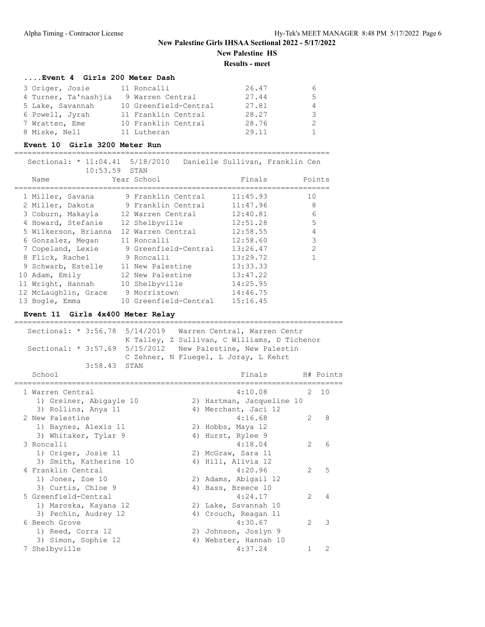## **New Palestine Girls IHSAA Sectional 2022 - 5/17/2022 New Palestine HS**

**Results - meet**

#### **....Event 4 Girls 200 Meter Dash**

| 3 Origer, Josie      | 11 Roncalli           | 26.47 | h  |
|----------------------|-----------------------|-------|----|
| 4 Turner, Ta'nashiia | 9 Warren Central      | 27.44 | -5 |
| 5 Lake, Savannah     | 10 Greenfield-Central | 27.81 | 4  |
| 6 Powell, Jyrah      | 11 Franklin Central   | 28.27 | 3  |
| 7 Wratten, Eme       | 10 Franklin Central   | 28.76 |    |
| 8 Miske, Nell        | 11 Lutheran           | 29.11 |    |

#### **Event 10 Girls 3200 Meter Run**

======================================================================= Sectional: \* 11:04.41 5/18/2010 Danielle Sullivan, Franklin Cen

| $10:53.59$ STAN                        | peceronar, "It'ai'in altolyana manierie patiragul pranvitu cen |          |                |
|----------------------------------------|----------------------------------------------------------------|----------|----------------|
| Name                                   | Year School                                                    | Finals   | Points         |
| 1 Miller, Savana                       | 9 Franklin Central                                             | 11:45.93 | 10             |
| 2 Miller, Dakota                       | 9 Franklin Central                                             | 11:47.96 | 8              |
|                                        | 3 Coburn, Makayla 12 Warren Central                            | 12:40.81 | 6              |
| 4 Howard, Stefanie                     | 12 Shelbyville                                                 | 12:51.28 | 5              |
| 5 Wilkerson, Brianna 12 Warren Central |                                                                | 12:58.55 | $\overline{4}$ |
| 6 Gonzalez, Megan                      | 11 Roncalli                                                    | 12:58.60 | 3              |
| 7 Copeland, Lexie                      | 9 Greenfield-Central                                           | 13:26.47 | $\mathcal{L}$  |
| 8 Flick, Rachel                        | 9 Roncalli                                                     | 13:29.72 |                |
| 9 Schwarb, Estelle                     | 11 New Palestine                                               | 13:33.33 |                |
| 10 Adam, Emily                         | 12 New Palestine                                               | 13:47.22 |                |
| 11 Wright, Hannah                      | 10 Shelbyville                                                 | 14:25.95 |                |
| 12 McLaughlin, Grace                   | 9 Morristown                                                   | 14:46.75 |                |
| 13 Bogle, Emma                         | 10 Greenfield-Central                                          | 15:16.45 |                |
|                                        |                                                                |          |                |

### **Event 11 Girls 4x400 Meter Relay**

| Sectional: $\star$ 3:56.78 5/14/2019 Warren Central, Warren Centr<br>Sectional: * 3:57.69 5/15/2012 New Palestine, New Palestin<br>3:58.43 STAN |  | K Talley, Z Sullivan, C Williams, D Tichenor<br>C Zehner, N Fluegel, L Joray, L Kehrt |               |               |
|-------------------------------------------------------------------------------------------------------------------------------------------------|--|---------------------------------------------------------------------------------------|---------------|---------------|
| School                                                                                                                                          |  | Finals                                                                                |               | H# Points     |
| 1 Warren Central<br>1) Greiner, Abigayle 10<br>3) Rollins, Anya 11                                                                              |  | 4:10.08<br>2) Hartman, Jacqueline 10<br>4) Merchant, Jaci 12                          | 2             | 10            |
| 2 New Palestine<br>1) Baynes, Alexis 11<br>3) Whitaker, Tylar 9                                                                                 |  | 4:16.68<br>2) Hobbs, Maya 12<br>4) Hurst, Rylee 9                                     | 2             | - 8           |
| 3 Roncalli<br>1) Origer, Josie 11<br>3) Smith, Katherine 10                                                                                     |  | 4:18.04<br>2) McGraw, Sara 11<br>4) Hill, Alivia 12                                   | 2             | 6             |
| 4 Franklin Central<br>1) Jones, Zoe 10<br>3) Curtis, Chloe 9                                                                                    |  | 4:20.96<br>2) Adams, Abigail 12<br>4) Bass, Breece 10                                 | 2             | 5             |
| 5 Greenfield-Central<br>1) Maroska, Kayana 12<br>3) Pechin, Audrey 12                                                                           |  | 4:24.17<br>2) Lake, Savannah 10<br>4) Crouch, Reagan 11                               | $\mathcal{L}$ | 4             |
| 6 Beech Grove<br>1) Reed, Corra 12<br>3) Simon, Sophie 12                                                                                       |  | 4:30.67<br>2) Johnson, Joslyn 9<br>4) Webster, Hannah 10                              | $\mathcal{L}$ | $\mathcal{E}$ |
| 7 Shelbyville                                                                                                                                   |  | 4:37.24                                                                               |               | $\mathcal{L}$ |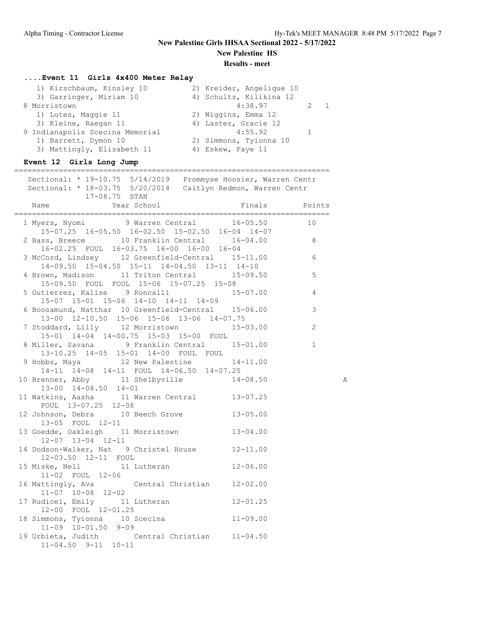**New Palestine HS**

#### **Results - meet**

#### **....Event 11 Girls 4x400 Meter Relay**

| 1) Kirschbaum, Kinsley 10       | 2) Kreider, Angelique 10 |
|---------------------------------|--------------------------|
| 3) Garringer, Miriam 10         | 4) Schultz, Kilikina 12  |
| 8 Morristown                    | 4:38.97<br>2 1           |
| 1) Lutes, Maggie 11             | 2) Wiggins, Emma 12      |
| 3) Kleine, Raegan 11            | 4) Laster, Gracie 12     |
| 9 Indianapolis Scecina Memorial | 4:55.92                  |
| 1) Barrett, Dymon 10            | 2) Simmons, Tyionna 10   |
| 3) Mattingly, Elizabeth 11      | 4) Eskew, Faye 11        |

#### **Event 12 Girls Long Jump**

### ======================================================================= Sectional: \* 19-10.75 5/14/2019 Prommyse Hoosier, Warren Centr Sectional: \* 18-03.75 5/20/2014 Caitlyn Redmon, Warren Centr 17-08.75 STAN Name Year School **Finals** Points ======================================================================= 1 Myers, Nyomi 9 Warren Central 16-05.50 10 15-07.25 16-05.50 16-02.50 15-02.50 16-04 14-07 2 Bass, Breece 10 Franklin Central 16-04.00 8 16-02.25 FOUL 16-03.75 16-00 16-00 16-04 3 McCord, Lindsey 12 Greenfield-Central 15-11.00 6 14-09.50 15-04.50 15-11 14-04.50 13-11 14-10 4 Brown, Madison 11 Triton Central 15-09.50 5 15-09.50 FOUL FOUL 15-06 15-07.25 15-08 5 Gutierrez, Kalise 9 Roncalli 15-07.00 4 15-07 15-01 15-06 14-10 14-11 14-09 6 Boosamund, Natthar 10 Greenfield-Central 15-06.00 3 13-00 12-10.50 15-06 15-06 13-06 14-07.75 7 Stoddard, Lilly 12 Morristown 15-03.00 2 15-01 14-04 14-00.75 15-03 15-00 FOUL 8 Miller, Savana 9 Franklin Central 15-01.00 1 13-10.25 14-05 15-01 14-00 FOUL FOUL 9 Hobbs, Maya 12 New Palestine 14-11.00 14-11 14-08 14-11 FOUL 14-06.50 14-07.25 10 Brenner, Abby 11 Shelbyville 14-08.50 A 13-00 14-08.50 14-01 11 Watkins, Aasha 11 Warren Central 13-07.25 FOUL 13-07.25 12-08 12 Johnson, Debra 10 Beech Grove 13-05.00 13-05 FOUL 12-11 13 Goedde, Oakleigh 11 Morristown 13-04.00 12-07 13-04 12-11 14 Dodson-Walker, Nat 9 Christel House 12-11.00 12-03.50 12-11 FOUL 15 Miske, Nell 11 Lutheran 12-06.00 11-02 FOUL 12-06 16 Mattingly, Ava Central Christian 12-02.00 11-07 10-08 12-02 17 Rudicel, Emily 11 Lutheran 12-01.25 12-00 FOUL 12-01.25 18 Simmons, Tyionna 10 Scecina 11-09.00 11-09 10-01.50 9-09 19 Urbieta, Judith Central Christian 11-04.50 11-04.50 9-11 10-11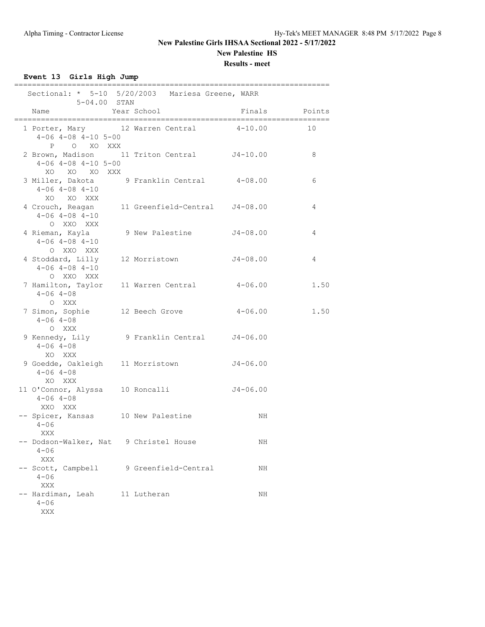### **New Palestine HS**

**Results - meet**

**Event 13 Girls High Jump**

|                                                                    | Sectional: * 5-10 5/20/2003 Mariesa Greene, WARR |              |        |
|--------------------------------------------------------------------|--------------------------------------------------|--------------|--------|
| 5-04.00 STAN<br>Name                                               | Year School                                      | Finals       | Points |
| 1 Porter, Mary 12 Warren Central<br>$4-06$ $4-08$ $4-10$ $5-00$    |                                                  | $4 - 10.00$  | 10     |
| P O XO XXX<br>$4-06$ $4-08$ $4-10$ $5-00$<br>XO XO XO XXX          | 2 Brown, Madison 11 Triton Central J4-10.00      |              | 8      |
| $4-06$ $4-08$ $4-10$<br>XO XO XXX                                  | 3 Miller, Dakota 9 Franklin Central 4-08.00      |              | 6      |
| $4-06$ $4-08$ $4-10$<br>O XXO XXX                                  | 4 Crouch, Reagan 11 Greenfield-Central J4-08.00  |              | 4      |
| 4 Rieman, Kayla<br>$4-06$ $4-08$ $4-10$<br>O XXO XXX               | 9 New Palestine                                  | J4-08.00     | 4      |
| $4 - 06$ $4 - 08$ $4 - 10$<br>O XXO XXX                            | 4 Stoddard, Lilly 12 Morristown J4-08.00         |              | 4      |
| 7 Hamilton, Taylor 11 Warren Central<br>$4 - 06$ $4 - 08$<br>O XXX |                                                  | $4 - 06.00$  | 1.50   |
| 7 Simon, Sophie 12 Beech Grove<br>$4 - 06$ $4 - 08$<br>O XXX       |                                                  | $4 - 06.00$  | 1.50   |
| $4 - 06$ $4 - 08$<br>XO XXX                                        | 9 Kennedy, Lily 9 Franklin Central J4-06.00      |              |        |
| $4 - 06$ $4 - 08$<br>XO XXX                                        | 9 Goedde, Oakleigh 11 Morristown 54-06.00        |              |        |
| 11 O'Connor, Alyssa 10 Roncalli<br>$4 - 06$ $4 - 08$<br>XXO XXX    |                                                  | $J4 - 06.00$ |        |
| -- Spicer, Kansas 10 New Palestine<br>$4 - 06$<br>XXX              |                                                  | NH.          |        |
| -- Dodson-Walker, Nat<br>$4 - 06$<br>XXX                           | 9 Christel House                                 | ΝH           |        |
| -- Scott, Campbell<br>$4 - 06$<br>XXX                              | 9 Greenfield-Central                             | ΝH           |        |
| -- Hardiman, Leah<br>$4 - 06$<br>XXX                               | 11 Lutheran                                      | NH           |        |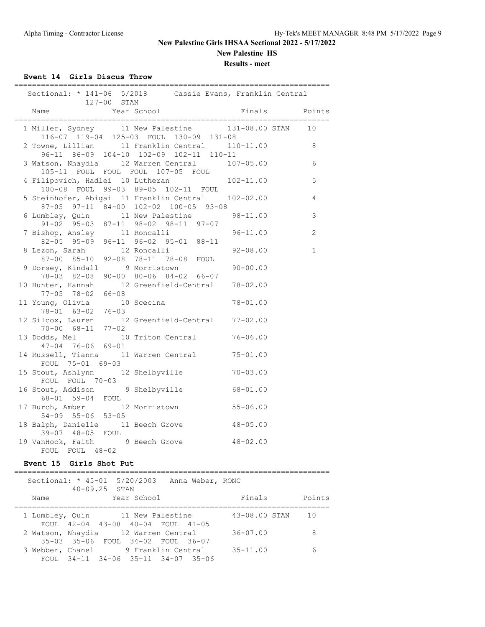**New Palestine HS**

**Results - meet**

**Event 14 Girls Discus Throw**

| Sectional: * 141-06 5/2018 Cassie Evans, Franklin Central<br>127-00 STAN         |                                         |               |                |
|----------------------------------------------------------------------------------|-----------------------------------------|---------------|----------------|
| Name                                                                             | Year School                             | Finals Points |                |
| 1 Miller, Sydney 11 New Palestine 131-08.00 STAN                                 |                                         |               | 10             |
| 2 Towne, Lillian 11 Franklin Central 110-11.00 8                                 | 116-07 119-04 125-03 FOUL 130-09 131-08 |               |                |
| 3 Watson, Nhaydia 12 Warren Central 107-05.00                                    | 96-11 86-09 104-10 102-09 102-11 110-11 |               | 6              |
| 105-11 FOUL FOUL FOUL 107-05 FOUL<br>4 Filipovich, Hadlei 10 Lutheran 102-11.00  |                                         |               | 5              |
| 5 Steinhofer, Abigai 11 Franklin Central 102-02.00                               | 100-08 FOUL 99-03 89-05 102-11 FOUL     |               | $\overline{4}$ |
| 6 Lumbley, Quin 11 New Palestine 98-11.00<br>91-02 95-03 87-11 98-02 98-11 97-07 | 87-05 97-11 84-00 102-02 100-05 93-08   |               | 3              |
| 7 Bishop, Ansley 11 Roncalli<br>82-05 95-09 96-11 96-02 95-01 88-11              |                                         | $96 - 11.00$  | 2              |
| 8 Lezon, Sarah 12 Roncalli<br>87-00 85-10 92-08 78-11 78-08 FOUL                 |                                         | $92 - 08.00$  | $\mathbf{1}$   |
| 9 Dorsey, Kindall 9 Morristown                                                   |                                         | $90 - 00.00$  |                |
| 10 Hunter, Hannah 12 Greenfield-Central 78-02.00                                 | 78-03 82-08 90-00 80-06 84-02 66-07     |               |                |
| 77-05 78-02 66-08<br>11 Young, Olivia 10 Scecina<br>78-01 63-02 76-03            |                                         | $78 - 01.00$  |                |
| 12 Silcox, Lauren 12 Greenfield-Central 77-02.00                                 |                                         |               |                |
| 70-00 68-11 77-02<br>13 Dodds, Mel 10 Triton Central 76-06.00                    |                                         |               |                |
| $47 - 04$ $76 - 06$ $69 - 01$<br>14 Russell, Tianna 11 Warren Central 75-01.00   |                                         |               |                |
| FOUL 75-01 69-03<br>15 Stout, Ashlynn 12 Shelbyville                             |                                         | $70 - 03.00$  |                |
| FOUL FOUL 70-03<br>16 Stout, Addison 9 Shelbyville 68-01.00                      |                                         |               |                |
| 68-01 59-04 FOUL<br>17 Burch, Amber 12 Morristown                                |                                         | $55 - 06.00$  |                |
| $54-09$ $55-06$ $53-05$<br>18 Balph, Danielle 11 Beech Grove 48-05.00            |                                         |               |                |
| 39-07 48-05 FOUL<br>19 VanHook, Faith 9 Beech Grove 48-02.00                     |                                         |               |                |
| FOUL FOUL 48-02                                                                  |                                         |               |                |

## **Event 15 Girls Shot Put**

| Sectional: $*$ 45-01 5/20/2003 Anna Weber, RONC |                                    | $40 - 09.25$ STAN |             |  |               |        |
|-------------------------------------------------|------------------------------------|-------------------|-------------|--|---------------|--------|
| Name                                            |                                    |                   | Year School |  | Finals        | Points |
| 1 Lumbley, Quin 11 New Palestine                | FOUL 42-04 43-08 40-04 FOUL 41-05  |                   |             |  | 43-08.00 STAN | 1 O    |
| 2 Watson, Nhaydia 12 Warren Central             | 35-03 35-06 FOUL 34-02 FOUL 36-07  |                   |             |  | $36 - 07.00$  | 8      |
| 3 Webber, Chanel 9 Franklin Central             | FOUL 34-11 34-06 35-11 34-07 35-06 |                   |             |  | $35 - 11.00$  | 6      |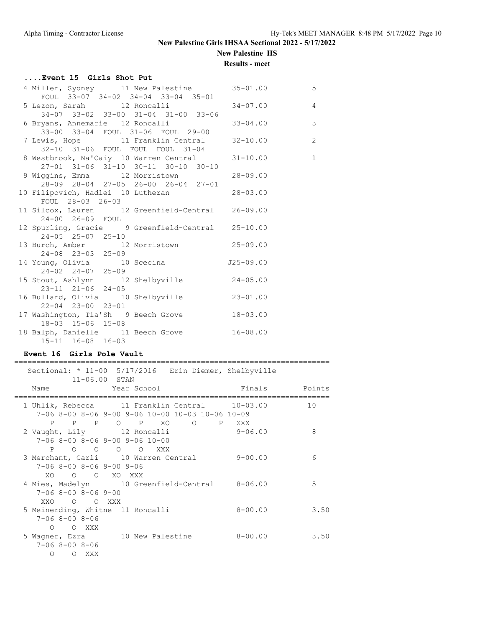**New Palestine HS**

## **Results - meet**

| Event 15 Girls Shot Put                                                |                                     |              |                |
|------------------------------------------------------------------------|-------------------------------------|--------------|----------------|
| 4 Miller, Sydney 11 New Palestine 35-01.00                             |                                     |              | 5              |
| FOUL 33-07 34-02 34-04 33-04 35-01                                     |                                     |              |                |
| 5 Lezon, Sarah 12 Roncalli 194-07.00                                   |                                     |              | $\overline{4}$ |
|                                                                        | 34-07 33-02 33-00 31-04 31-00 33-06 |              |                |
| 6 Bryans, Annemarie 12 Roncalli                                        |                                     | $33 - 04.00$ | $\overline{3}$ |
| 33-00 33-04 FOUL 31-06 FOUL 29-00                                      |                                     |              |                |
| 7 Lewis, Hope 11 Franklin Central 32-10.00                             |                                     |              | $\overline{c}$ |
| 32-10 31-06 FOUL FOUL FOUL 31-04                                       |                                     |              |                |
| 8 Westbrook, Na'Caiy 10 Warren Central 31-10.00                        |                                     |              | $\mathbf{1}$   |
|                                                                        | 27-01 31-06 31-10 30-11 30-10 30-10 |              |                |
| 9 Wiggins, Emma 12 Morristown                                          |                                     | $28 - 09.00$ |                |
|                                                                        | 28-09 28-04 27-05 26-00 26-04 27-01 |              |                |
| 10 Filipovich, Hadlei 10 Lutheran 28-03.00                             |                                     |              |                |
| FOUL 28-03 26-03                                                       |                                     |              |                |
| 11 Silcox, Lauren 12 Greenfield-Central 26-09.00<br>24-00 26-09 FOUL   |                                     |              |                |
|                                                                        |                                     |              |                |
| 12 Spurling, Gracie 9 Greenfield-Central 25-10.00<br>24-05 25-07 25-10 |                                     |              |                |
| 13 Burch, Amber 12 Morristown 25-09.00                                 |                                     |              |                |
| $24 - 08$ $23 - 03$ $25 - 09$                                          |                                     |              |                |
| 14 Young, Olivia 10 Scecina 10 J25-09.00                               |                                     |              |                |
| $24 - 02$ $24 - 07$ $25 - 09$                                          |                                     |              |                |
| 15 Stout, Ashlynn 12 Shelbyville 24-05.00                              |                                     |              |                |
| $23 - 11$ $21 - 06$ $24 - 05$                                          |                                     |              |                |
| 16 Bullard, Olivia 10 Shelbyville 23-01.00                             |                                     |              |                |
| $22 - 04$ $23 - 00$ $23 - 01$                                          |                                     |              |                |
| 17 Washington, Tia'Sh 9 Beech Grove 18-03.00                           |                                     |              |                |
| 18-03 15-06 15-08                                                      |                                     |              |                |
| 18 Balph, Danielle 11 Beech Grove 16-08.00                             |                                     |              |                |
| $15-11$ $16-08$ $16-03$                                                |                                     |              |                |

## **Event 16 Girls Pole Vault**

#### =======================================================================

|                            | Sectional: * 11-00 5/17/2016 Erin Diemer, Shelbyville                                               |               |      |
|----------------------------|-----------------------------------------------------------------------------------------------------|---------------|------|
|                            | $11 - 06.00$ STAN                                                                                   |               |      |
|                            | Name Year School                                                                                    | Finals Points |      |
|                            |                                                                                                     |               | 10   |
|                            | 1 Uhlik, Rebecca 11 Franklin Central 10-03.00<br>$7-06$ 8-00 8-06 9-00 9-06 10-00 10-03 10-06 10-09 |               |      |
|                            |                                                                                                     |               |      |
|                            | P P P O P XO O P XXX                                                                                |               |      |
|                            | 2 Vaught, Lily 12 Roncalli                                                                          | $9 - 06.00$   | 8    |
|                            | $7-06$ 8-00 8-06 9-00 9-06 10-00                                                                    |               |      |
|                            | P O O O O XXX                                                                                       |               |      |
|                            | 3 Merchant, Carli 10 Warren Central                                                                 | 9-00.00       | 6    |
| $7-06$ 8-00 8-06 9-00 9-06 |                                                                                                     |               |      |
| XO.                        | O O XO XXX                                                                                          |               |      |
|                            | 4 Mies, Madelyn 10 Greenfield-Central 8-06.00                                                       |               | 5    |
| $7 - 068 - 008 - 069 - 00$ |                                                                                                     |               |      |
| XXO.<br>O OXXX             |                                                                                                     |               |      |
|                            | 5 Meinerding, Whitne 11 Roncalli                                                                    | $8 - 00.00$   | 3.50 |
| $7 - 068 - 008 - 06$       |                                                                                                     |               |      |
| O XXX<br>$\bigcirc$        |                                                                                                     |               |      |
|                            | 5 Wagner, Ezra 10 New Palestine                                                                     | $8 - 00.00$   | 3.50 |
| $7 - 068 - 008 - 06$       |                                                                                                     |               |      |
| O XXX<br>$\circ$           |                                                                                                     |               |      |
|                            |                                                                                                     |               |      |